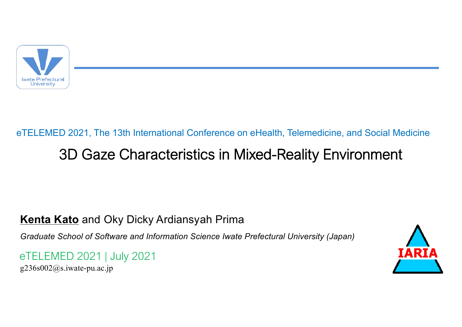

## 3D Gaze Characteristics in Mixed-Reality Environment eTELEMED 2021, The 13th International Conference on eHealth, Telemedicine, and Social Medicine

#### **Kenta Kato** and Oky Dicky Ardiansyah Prima

*Graduate School of Software and Information Science Iwate Prefectural University (Japan)*

eTELEMED 2021 | July 2021

 $g236s002@$ s.iwate-pu.ac.jp

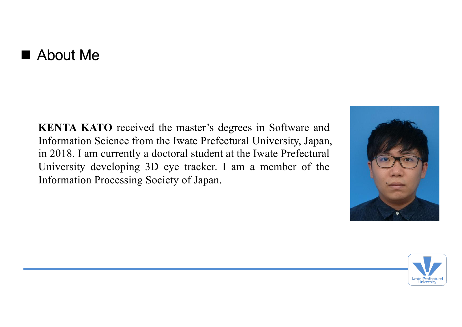### $\blacksquare$  About Me

**KENTA KATO** received the master's degrees in Software and Information Science from the Iwate Prefectural University, Japan, in 2018. I am currently a doctoral student at the Iwate Prefectural University developing 3D eye tracker. I am a member of the Information Processing Society of Japan.



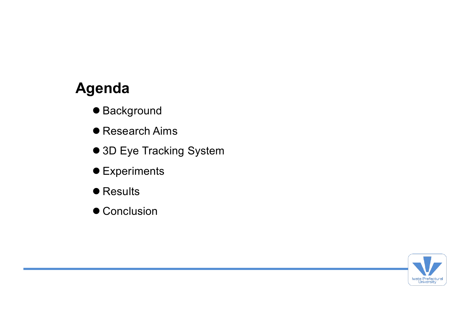### **Agenda**

- Background
- Research Aims
- 3D Eye Tracking System
- **•** Experiments
- **Results**
- Conclusion

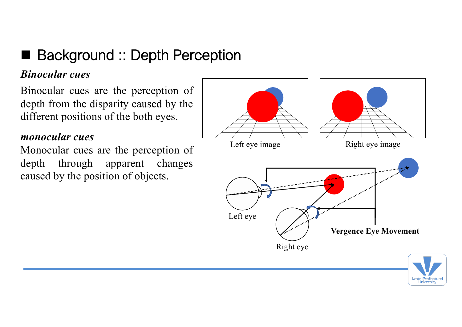### ■ Background :: Depth Perception

#### *Binocular cues*

Binocular cues are the perception of depth from the disparity caused by the different positions of the both eyes.

#### *monocular cues*

Monocular cues are the perception of depth through apparent changes caused by the position of objects.



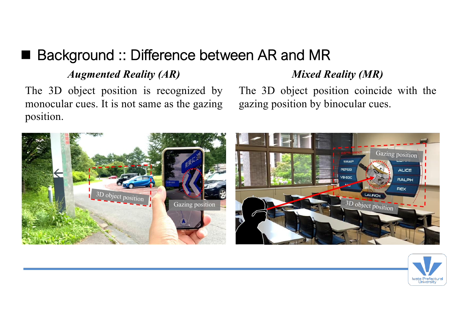### ■ Background :: Difference between AR and MR

#### *Augmented Reality (AR) Mixed Reality (MR)*

The 3D object position is recognized by monocular cues. It is not same as the gazing position.

The 3D object position coincide with the gazing position by binocular cues.



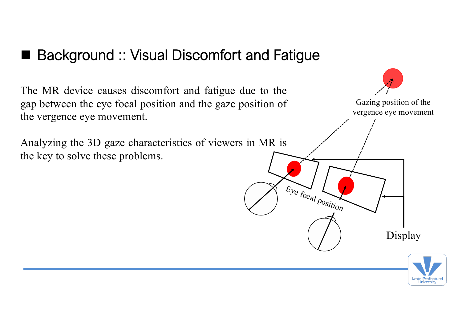### Background :: Visual Discomfort and Fatigue

The MR device causes discomfort and fatigue due to the gap between the eye focal position and the gaze position of the vergence eye movement.

Analyzing the 3D gaze characteristics of viewers in MR is the key to solve these problems.



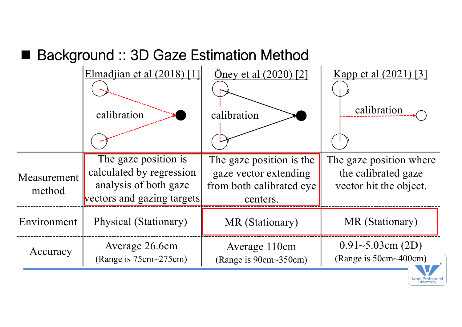### Background :: 3D Gaze Estimation Method

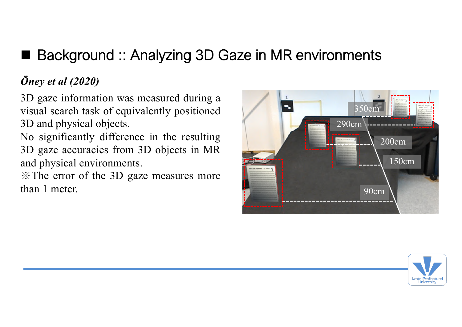### ■ Background :: Analyzing 3D Gaze in MR environments

#### *Öney et al (2020)*

3D gaze information was measured during a visual search task of equivalently positioned 3D and physical objects.

No significantly difference in the resulting 3D gaze accuracies from 3D objects in MR and physical environments.

※The error of the 3D gaze measures more than 1 meter. 90cm



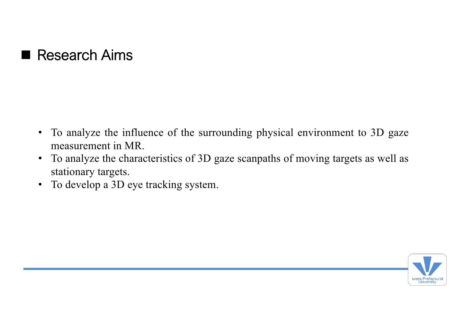### Research Aims

- To analyze the influence of the surrounding physical environment to 3D gaze measurement in MR.
- To analyze the characteristics of 3D gaze scanpaths of moving targets as well as stationary targets.
- To develop a 3D eye tracking system.

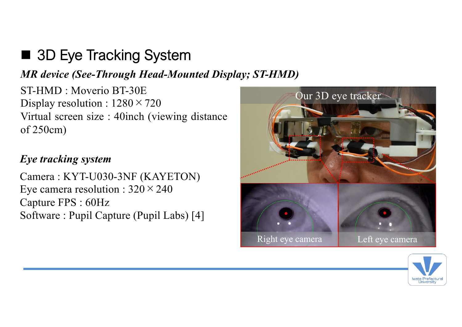# ■ 3D Eye Tracking System

#### *MR device (See-Through Head-Mounted Display; ST-HMD)*

ST-HMD : Moverio BT-30E Display resolution :  $1280 \times 720$ Virtual screen size : 40inch (viewing distance of 250cm)

#### *Eye tracking system*

Camera : KYT-U030-3NF (KAYETON) Eye camera resolution :  $320 \times 240$ Capture FPS : 60Hz Software : Pupil Capture (Pupil Labs) [4]



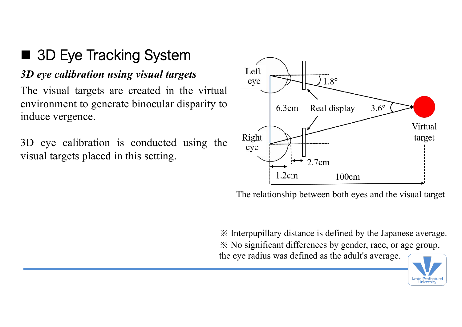# ■ 3D Eye Tracking System

#### *3D eye calibration using visual targets*

The visual targets are created in the virtual environment to generate binocular disparity to induce vergence.

3D eye calibration is conducted using the visual targets placed in this setting.



The relationship between both eyes and the visual target

※ Interpupillary distance is defined by the Japanese average. ※ No significant differences by gender, race, or age group, the eye radius was defined as the adult's average.

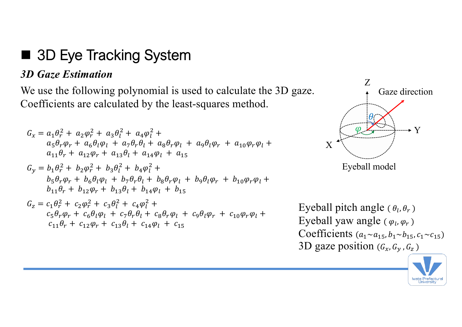## 3D Eye Tracking System

#### *3D Gaze Estimation*

We use the following polynomial is used to calculate the 3D gaze. Coefficients are calculated by the least-squares method.

$$
G_x = a_1 \theta_r^2 + a_2 \varphi_r^2 + a_3 \theta_l^2 + a_4 \varphi_l^2 + a_5 \theta_r \varphi_r + a_6 \theta_l \varphi_l + a_7 \theta_r \theta_l + a_8 \theta_r \varphi_l + a_9 \theta_l \varphi_r + a_{10} \varphi_r \varphi_l + a_{11} \theta_r + a_{12} \varphi_r + a_{13} \theta_l + a_{14} \varphi_l + a_{15}
$$

$$
G_y = b_1 \theta_r^2 + b_2 \varphi_r^2 + b_3 \theta_l^2 + b_4 \varphi_l^2 + b_5 \theta_r \varphi_r + b_6 \theta_l \varphi_l + b_7 \theta_r \theta_l + b_8 \theta_r \varphi_l + b_9 \theta_l \varphi_r + b_{10} \varphi_r \varphi_l + b_{11} \theta_r + b_{12} \varphi_r + b_{13} \theta_l + b_{14} \varphi_l + b_{15}
$$

$$
G_{z} = c_{1} \theta_{r}^{2} + c_{2} \varphi_{r}^{2} + c_{3} \theta_{l}^{2} + c_{4} \varphi_{l}^{2} + c_{5} \theta_{r} \varphi_{r} + c_{6} \theta_{l} \varphi_{l} + c_{7} \theta_{r} \theta_{l} + c_{8} \theta_{r} \varphi_{l} + c_{9} \theta_{l} \varphi_{r} + c_{10} \varphi_{r} \varphi_{l} + c_{11} \theta_{r} + c_{12} \varphi_{r} + c_{13} \theta_{l} + c_{14} \varphi_{l} + c_{15}
$$



Eyeball pitch angle ( $\theta_l$ ,  $\theta_r$ ) Eyeball yaw angle ( $\varphi_l$ ,  $\varphi_r$ ) Coefficients  $(a_1 \sim a_{15}, b_1 \sim b_{15}, c_1 \sim c_{15})$ 3D gaze position  $(G_x, G_y, G_z)$ 

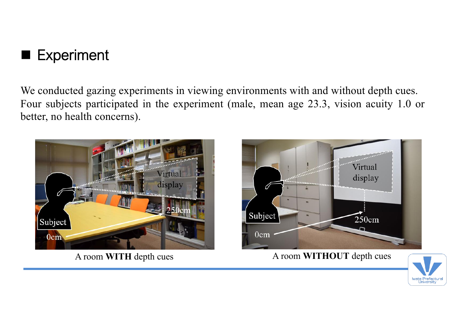

We conducted gazing experiments in viewing environments with and without depth cues. Four subjects participated in the experiment (male, mean age 23.3, vision acuity 1.0 or better, no health concerns).





A room **WITH** depth cues A room **WITHOUT** depth cues

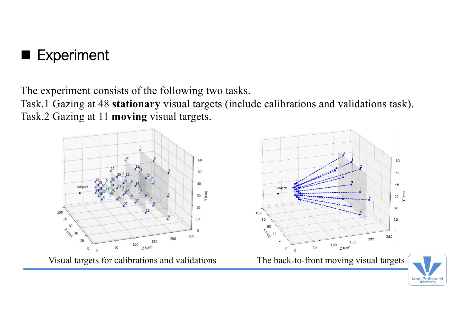

The experiment consists of the following two tasks.

Task.1 Gazing at 48 **stationary** visual targets (include calibrations and validations task). Task.2 Gazing at 11 **moving** visual targets.



**University**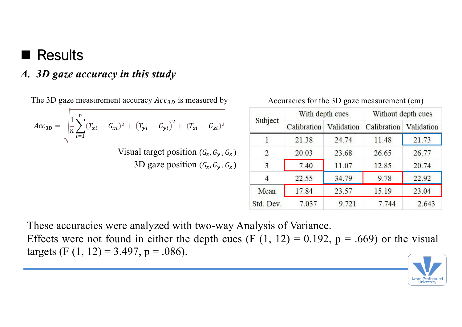### **Results**

#### *A. 3D gaze accuracy in this study*

The 3D gaze measurement accuracy  $Acc_{3D}$  is measured by Accuracies for the 3D gaze measurement (cm)

$$
Acc_{3D} = \sqrt{\frac{1}{n} \sum_{i=1}^{n} (T_{xi} - G_{xi})^2 + (T_{yi} - G_{yi})^2 + (T_{zi} - G_{zi})^2}
$$

Visual target position  $(G_x, G_y, G_z)$ 3D gaze position  $(G_x, G_y, G_z)$ 

| Subject   | With depth cues |            | Without depth cues |            |
|-----------|-----------------|------------|--------------------|------------|
|           | Calibration     | Validation | Calibration        | Validation |
|           | 21.38           | 24.74      | 11.48              | 21.73      |
| 2         | 20.03           | 23.68      | 26.65              | 26.77      |
| 3         | 7.40            | 11.07      | 12.85              | 20.74      |
| 4         | 22.55           | 34.79      | 9.78               | 22.92      |
| Mean      | 17.84           | 23.57      | 15.19              | 23.04      |
| Std. Dev. | 7.037           | 9.721      | 7.744              | 2.643      |

These accuracies were analyzed with two-way Analysis of Variance.

Effects were not found in either the depth cues (F  $(1, 12) = 0.192$ ,  $p = .669$ ) or the visual targets (F  $(1, 12) = 3.497$ , p = .086).

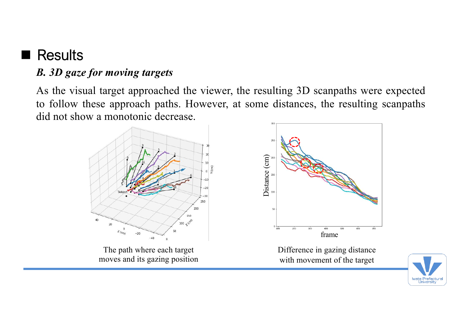## **Results**

#### *B. 3D gaze for moving targets*

As the visual target approached the viewer, the resulting 3D scanpaths were expected to follow these approach paths. However, at some distances, the resulting scanpaths did not show a monotonic decrease.



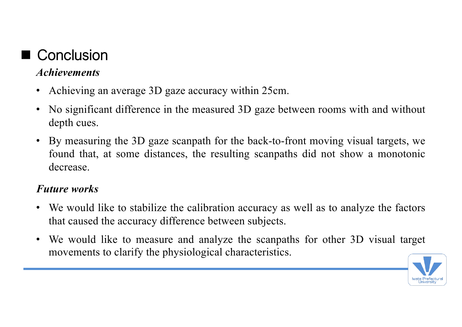# ■ Conclusion

#### *Achievements*

- Achieving an average 3D gaze accuracy within 25cm.
- No significant difference in the measured 3D gaze between rooms with and without depth cues.
- By measuring the 3D gaze scanpath for the back-to-front moving visual targets, we found that, at some distances, the resulting scanpaths did not show a monotonic decrease.

#### *Future works*

- We would like to stabilize the calibration accuracy as well as to analyze the factors that caused the accuracy difference between subjects.
- We would like to measure and analyze the scanpaths for other 3D visual target movements to clarify the physiological characteristics.